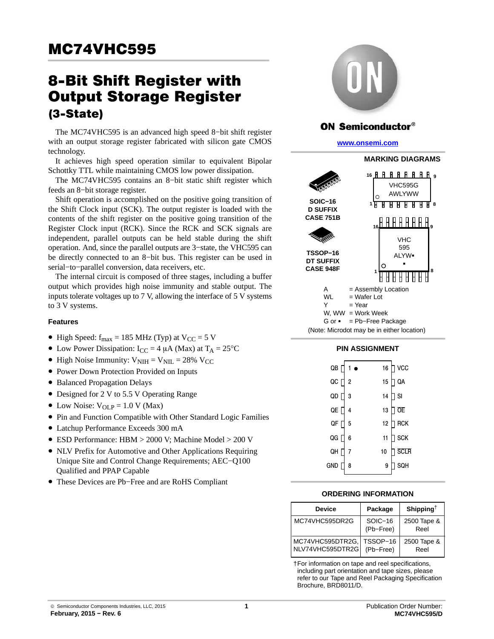# **Output Storage Register**  $(3-State)$

 $\mathcal{L}$  -state) The MC74VHC595 is an advanced high speed 8−bit shift register with an output storage register fabricated with silicon gate CMOS technology.

It achieves high speed operation similar to equivalent Bipolar Schottky TTL while maintaining CMOS low power dissipation.

The MC74VHC595 contains an 8−bit static shift register which feeds an 8−bit storage register.

Shift operation is accomplished on the positive going transition of the Shift Clock input (SCK). The output register is loaded with the contents of the shift register on the positive going transition of the Register Clock input (RCK). Since the RCK and SCK signals are independent, parallel outputs can be held stable during the shift operation. And, since the parallel outputs are 3−state, the VHC595 can be directly connected to an 8−bit bus. This register can be used in serial−to−parallel conversion, data receivers, etc.

The internal circuit is composed of three stages, including a buffer output which provides high noise immunity and stable output. The inputs tolerate voltages up to 7 V, allowing the interface of 5 V systems to 3 V systems.

#### **Features**

- High Speed:  $f_{max} = 185 \text{ MHz (Typ) at V}_{CC} = 5 \text{ V}$
- Low Power Dissipation:  $I_{CC} = 4 \mu A$  (Max) at  $T_A = 25^{\circ}C$
- High Noise Immunity:  $V_{\text{NIH}} = V_{\text{NIL}} = 28\% \text{ V}_{\text{CC}}$
- Power Down Protection Provided on Inputs
- Balanced Propagation Delays
- Designed for 2 V to 5.5 V Operating Range
- Low Noise:  $V_{OLP} = 1.0 V (Max)$
- Pin and Function Compatible with Other Standard Logic Families
- Latchup Performance Exceeds 300 mA
- ESD Performance: HBM > 2000 V; Machine Model > 200 V
- NLV Prefix for Automotive and Other Applications Requiring Unique Site and Control Change Requirements; AEC−Q100 Qualified and PPAP Capable
- These Devices are Pb−Free and are RoHS Compliant



## ON Semiconductor®

#### **[www.onsemi.com]( http://www.onsemi.com/)**



#### **PIN ASSIGNMENT**

| QB [ | 1 <sub>o</sub> | 16 | ] vcc         |
|------|----------------|----|---------------|
| QC   | $\overline{2}$ | 15 | $\mathsf{QA}$ |
| QD [ | 3              | 14 | ] SI          |
| QE [ | 4              | 13 | <b>OE</b>     |
| QF   | 5              | 12 | <b>RCK</b>    |
| QG [ | 6              | 11 | <b>SCK</b>    |
| QH   | $\overline{7}$ | 10 | <b>SCLR</b>   |
| gnd  | 8              | 9  | SQH           |
|      |                |    |               |

#### **ORDERING INFORMATION**

| <b>Device</b>                        | Package                | Shipping <sup>†</sup> |
|--------------------------------------|------------------------|-----------------------|
| MC74VHC595DR2G                       | $SOIC-16$<br>(Pb-Free) | 2500 Tape &<br>Reel   |
| MC74VHC595DTR2G,<br>NLV74VHC595DTR2G | TSSOP-16<br>(Pb-Free)  | 2500 Tape &<br>Reel   |

†For information on tape and reel specifications, including part orientation and tape sizes, please refer to our Tape and Reel Packaging Specification Brochure, BRD8011/D.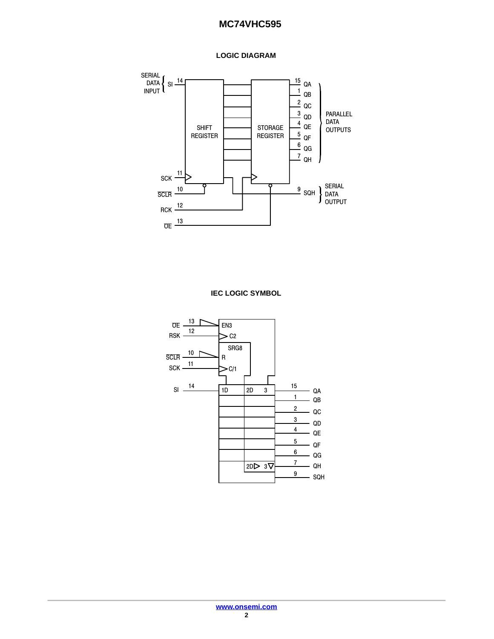



**IEC LOGIC SYMBOL**

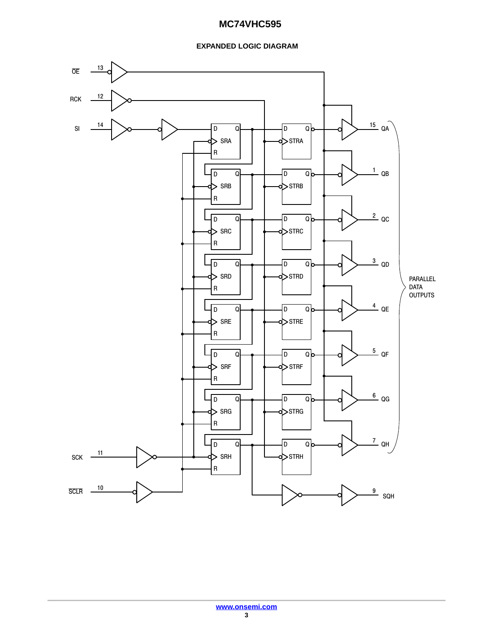## **EXPANDED LOGIC DIAGRAM**

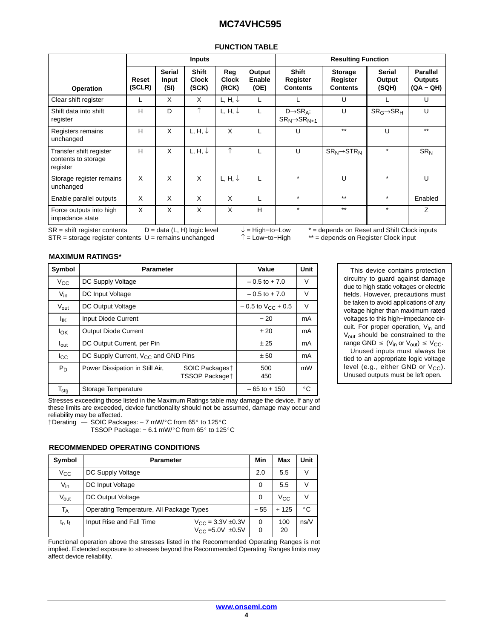| <b>FUNCTION TABLE</b> |
|-----------------------|
|-----------------------|

|                                                            |                 |                                | <b>Inputs</b>                         |                              |                            | <b>Resulting Function</b>                             |                                               |                                  |                                         |  |
|------------------------------------------------------------|-----------------|--------------------------------|---------------------------------------|------------------------------|----------------------------|-------------------------------------------------------|-----------------------------------------------|----------------------------------|-----------------------------------------|--|
| Operation                                                  | Reset<br>(SCLR) | <b>Serial</b><br>Input<br>(SI) | <b>Shift</b><br><b>Clock</b><br>(SCK) | Reg<br><b>Clock</b><br>(RCK) | Output<br>Enable<br>(OE)   | <b>Shift</b><br>Register<br><b>Contents</b>           | <b>Storage</b><br>Register<br><b>Contents</b> | <b>Serial</b><br>Output<br>(SQH) | <b>Parallel</b><br>Outputs<br>(QA – QH) |  |
| Clear shift register                                       |                 | X                              | X                                     | L, H, $\downarrow$           |                            |                                                       | U                                             |                                  | U                                       |  |
| Shift data into shift<br>register                          | H               | D                              | ↑                                     | L, H, $\downarrow$           | L                          | $D \rightarrow SR_A$ ;<br>$SR_N \rightarrow SR_{N+1}$ | U                                             | $SR_G \rightarrow SR_H$          | U                                       |  |
| Registers remains<br>unchanged                             | H               | X                              | L, H, $\downarrow$                    | X                            | L                          | U                                                     | $***$                                         | U                                | $***$                                   |  |
| Transfer shift register<br>contents to storage<br>register | H               | X                              | L, H, $\downarrow$                    | ↑                            |                            | U                                                     | $SR_N \rightarrow STR_N$                      | $\star$                          | SR <sub>N</sub>                         |  |
| Storage register remains<br>unchanged                      | X               | X                              | X                                     | L, H, $\downarrow$           |                            | $\star$                                               | U                                             | $\star$                          | U                                       |  |
| Enable parallel outputs                                    | X               | X                              | X                                     | X                            | L                          | $\star$                                               | $***$                                         | $\star$                          | Enabled                                 |  |
| Force outputs into high<br>impedance state                 | X               | X                              | X                                     | X                            | H                          | $\star$                                               | $***$                                         | $\star$                          | Z                                       |  |
| $SR = shift$ register contents                             |                 |                                | $D = data (L, H) logic level$         |                              | $\downarrow$ = High-to-Low |                                                       | * = depends on Reset and Shift Clock inputs   |                                  |                                         |  |

STR = storage register contents U = remains unchanged ↑ = Low−to−High \*\* = depends on Register Clock input

#### **MAXIMUM RATINGS\***

| Symbol           | <b>Parameter</b>                         |                                         | Value            | Unit         |
|------------------|------------------------------------------|-----------------------------------------|------------------|--------------|
| $V_{\rm CC}$     | DC Supply Voltage                        |                                         | $-0.5$ to $+7.0$ | V            |
| $V_{\text{in}}$  | <b>DC Input Voltage</b>                  | $-0.5$ to $+7.0$                        | $\vee$           |              |
| $V_{\text{out}}$ | DC Output Voltage                        | $-0.5$ to $V_{CC}$ + 0.5                | $\vee$           |              |
| ŀικ              | Input Diode Current                      | $-20$                                   | mA               |              |
| <b>l</b> ok      | <b>Output Diode Current</b>              | ±20                                     | mA               |              |
| $I_{\text{out}}$ | DC Output Current, per Pin               |                                         | ± 25             | mA           |
| $_{\rm{lcc}}$    | DC Supply Current, $V_{CC}$ and GND Pins |                                         | ± 50             | mA           |
| $P_D$            | Power Dissipation in Still Air,          | SOIC Packagest<br><b>TSSOP Packaget</b> | 500<br>450       | mW           |
| $T_{\text{stg}}$ | Storage Temperature                      |                                         | $-65$ to $+150$  | $^{\circ}$ C |

This device contains protection circuitry to guard against damage due to high static voltages or electric fields. However, precautions must be taken to avoid applications of any voltage higher than maximum rated voltages to this high−impedance circuit. For proper operation, V<sub>in</sub> and V<sub>out</sub> should be constrained to the range GND  $\leq$  (V<sub>in</sub> or V<sub>out</sub>)  $\leq$  V<sub>CC</sub>.

Unused inputs must always be tied to an appropriate logic voltage level (e.g., either GND or  $V_{CC}$ ). Unused outputs must be left open.

Stresses exceeding those listed in the Maximum Ratings table may damage the device. If any of these limits are exceeded, device functionality should not be assumed, damage may occur and reliability may be affected.

 $\dagger$ Derating  $-$  SOIC Packages:  $-7$  mW/ $^{\circ}$ C from 65 $^{\circ}$  to 125 $^{\circ}$ C

TSSOP Package: - 6.1 mW/°C from 65° to 125°C

#### **RECOMMENDED OPERATING CONDITIONS**

| Symbol           | <b>Parameter</b>                         | Min                                                         | Max    | Unit         |        |
|------------------|------------------------------------------|-------------------------------------------------------------|--------|--------------|--------|
| $V_{\rm CC}$     | DC Supply Voltage                        |                                                             | 2.0    | 5.5          | V      |
| $V_{in}$         | DC Input Voltage                         |                                                             |        |              |        |
| $V_{\text{out}}$ | DC Output Voltage                        |                                                             | 0      | $V_{\rm CC}$ | $\vee$ |
| Т <sub>А</sub>   | Operating Temperature, All Package Types |                                                             | $-55$  | $+125$       | °C     |
| $t_r$ , $t_f$    | Input Rise and Fall Time                 | $V_{\text{CC}} = 3.3V \pm 0.3V$<br>$V_{CC} = 5.0V \pm 0.5V$ | 0<br>0 | 100<br>20    | ns/V   |

Functional operation above the stresses listed in the Recommended Operating Ranges is not implied. Extended exposure to stresses beyond the Recommended Operating Ranges limits may affect device reliability.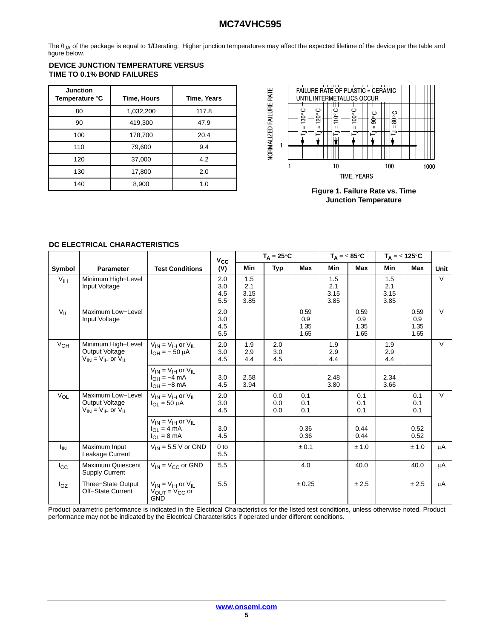The  $\theta_{JA}$  of the package is equal to 1/Derating. Higher junction temperatures may affect the expected lifetime of the device per the table and figure below.

## **DEVICE JUNCTION TEMPERATURE VERSUS TIME TO 0.1% BOND FAILURES**

| <b>Junction</b><br>Temperature °C | Time, Hours | Time, Years |
|-----------------------------------|-------------|-------------|
| 80                                | 1,032,200   | 117.8       |
| 90                                | 419,300     | 47.9        |
| 100                               | 178,700     | 20.4        |
| 110                               | 79,600      | 9.4         |
| 120                               | 37,000      | 4.2         |
| 130                               | 17,800      | 2.0         |
| 140                               | 8,900       | 1.0         |



**Figure 1. Failure Rate vs. Time Junction Temperature**

## **DC ELECTRICAL CHARACTERISTICS**

|                 |                                                                              |                                                                                                 | $V_{\rm CC}$             | $T_A = 25^{\circ}C$        |                   |                             | $T_A = \leq 85^{\circ}C$   |                             | $T_A = \leq 125^{\circ}C$  |                             |        |
|-----------------|------------------------------------------------------------------------------|-------------------------------------------------------------------------------------------------|--------------------------|----------------------------|-------------------|-----------------------------|----------------------------|-----------------------------|----------------------------|-----------------------------|--------|
| Symbol          | <b>Parameter</b>                                                             | <b>Test Conditions</b>                                                                          | (V)                      | Min                        | <b>Typ</b>        | Max                         | Min                        | <b>Max</b>                  | <b>Min</b>                 | <b>Max</b>                  | Unit   |
| V <sub>IH</sub> | Minimum High-Level<br>Input Voltage                                          |                                                                                                 | 2.0<br>3.0<br>4.5<br>5.5 | 1.5<br>2.1<br>3.15<br>3.85 |                   |                             | 1.5<br>2.1<br>3.15<br>3.85 |                             | 1.5<br>2.1<br>3.15<br>3.85 |                             | $\vee$ |
| $V_{IL}$        | Maximum Low-Level<br>Input Voltage                                           |                                                                                                 | 2.0<br>3.0<br>4.5<br>5.5 |                            |                   | 0.59<br>0.9<br>1.35<br>1.65 |                            | 0.59<br>0.9<br>1.35<br>1.65 |                            | 0.59<br>0.9<br>1.35<br>1.65 | $\vee$ |
| V <sub>OH</sub> | Minimum High-Level<br><b>Output Voltage</b><br>$V_{IN} = V_{IH}$ or $V_{II}$ | $V_{IN} = V_{IH}$ or $V_{IL}$<br>$I_{OH} = -50 \mu A$                                           | 2.0<br>3.0<br>4.5        | 1.9<br>2.9<br>4.4          | 2.0<br>3.0<br>4.5 |                             | 1.9<br>2.9<br>4.4          |                             | 1.9<br>2.9<br>4.4          |                             | $\vee$ |
|                 |                                                                              | $V_{IN} = V_{IH}$ or $V_{IL}$<br>$I_{OH} = -4$ mA<br>$I_{OH} = -8$ mA                           | 3.0<br>4.5               | 2.58<br>3.94               |                   |                             | 2.48<br>3.80               |                             | 2.34<br>3.66               |                             |        |
| $V_{OL}$        | Maximum Low-Level<br>Output Voltage<br>$V_{IN} = V_{IH}$ or $V_{II}$         | $V_{IN} = V_{IH}$ or $V_{IL}$<br>$I_{\Omega I} = 50 \mu A$                                      | 2.0<br>3.0<br>4.5        |                            | 0.0<br>0.0<br>0.0 | 0.1<br>0.1<br>0.1           |                            | 0.1<br>0.1<br>0.1           |                            | 0.1<br>0.1<br>0.1           | $\vee$ |
|                 |                                                                              | $V_{IN}$ = $V_{IH}$ or $V_{II}$<br>$I_{\Omega} = 4 \text{ mA}$<br>$I_{\Omega I} = 8 \text{ mA}$ | 3.0<br>4.5               |                            |                   | 0.36<br>0.36                |                            | 0.44<br>0.44                |                            | 0.52<br>0.52                |        |
| $I_{IN}$        | Maximum Input<br>Leakage Current                                             | $V_{IN}$ = 5.5 V or GND                                                                         | 0 <sub>to</sub><br>5.5   |                            |                   | ± 0.1                       |                            | ± 1.0                       |                            | ± 1.0                       | μA     |
| $I_{\rm CC}$    | <b>Maximum Quiescent</b><br><b>Supply Current</b>                            | $V_{IN}$ = $V_{CC}$ or GND                                                                      | 5.5                      |                            |                   | 4.0                         |                            | 40.0                        |                            | 40.0                        | μA     |
| $I_{OZ}$        | Three-State Output<br>Off-State Current                                      | $V_{IN} = V_{IH}$ or $V_{II}$<br>$V_{\text{OUT}} = V_{\text{CC}}$ or<br><b>GND</b>              | 5.5                      |                            |                   | ± 0.25                      |                            | ± 2.5                       |                            | ± 2.5                       | μA     |

Product parametric performance is indicated in the Electrical Characteristics for the listed test conditions, unless otherwise noted. Product performance may not be indicated by the Electrical Characteristics if operated under different conditions.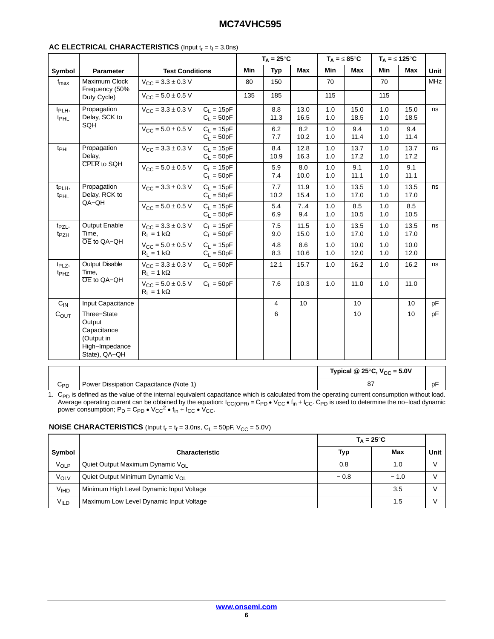## **AC ELECTRICAL CHARACTERISTICS** (Input  $t_r = t_f = 3.0$ ns)

|                                        |                                                                                       |                                                              |                              | $T_A = 25^{\circ}C$ |                | $T_A = \leq 85^{\circ}C$ |            |                            | $T_A = \leq 125^{\circ}C$ |              |            |
|----------------------------------------|---------------------------------------------------------------------------------------|--------------------------------------------------------------|------------------------------|---------------------|----------------|--------------------------|------------|----------------------------|---------------------------|--------------|------------|
| Symbol                                 | Parameter                                                                             | <b>Test Conditions</b>                                       |                              | Min                 | <b>Typ</b>     | Max                      | Min        | Max                        | <b>Min</b>                | Max          | Unit       |
| $f_{\sf max}$                          | Maximum Clock<br>Frequency (50%                                                       | $V_{CC} = 3.3 \pm 0.3$ V                                     |                              | 80                  | 150            |                          | 70         |                            | 70                        |              | <b>MHz</b> |
|                                        | Duty Cycle)                                                                           | $V_{CC} = 5.0 \pm 0.5 V$                                     |                              | 135                 | 185            |                          | 115        |                            | 115                       |              |            |
| t <sub>PLH</sub> ,<br>t <sub>PHL</sub> | Propagation<br>Delay, SCK to                                                          | $V_{\text{CC}} = 3.3 \pm 0.3 \text{ V}$                      | $C_L = 15pF$<br>$C_1 = 50pF$ |                     | 8.8<br>11.3    | 13.0<br>16.5             | 1.0<br>1.0 | 15.0<br>18.5               | 1.0<br>1.0                | 15.0<br>18.5 | ns         |
|                                        | SQH                                                                                   | $V_{CC} = 5.0 \pm 0.5 V$                                     | $C_L = 15pF$<br>$C_1 = 50pF$ |                     | 6.2<br>7.7     | 8.2<br>10.2              | 1.0<br>1.0 | 9.4<br>11.4                | 1.0<br>1.0                | 9.4<br>11.4  |            |
| $t_{\rm PHL}$                          | Propagation<br>Delay,                                                                 | $V_{CC} = 3.3 \pm 0.3 V$                                     | $C_L = 15pF$<br>$C_1 = 50pF$ |                     | 8.4<br>10.9    | 12.8<br>16.3             | 1.0<br>1.0 | 13.7<br>17.2               | 1.0<br>1.0                | 13.7<br>17.2 | ns         |
|                                        | CPLR to SQH                                                                           | $V_{CC} = 5.0 \pm 0.5 V$                                     | $C_L = 15pF$<br>$C_1 = 50pF$ |                     | 5.9<br>7.4     | 8.0<br>10.0              | 1.0<br>1.0 | 9.1<br>11.1                | 1.0<br>1.0                | 9.1<br>11.1  |            |
| $t_{\text{PLH}}$<br>t <sub>PHL</sub>   | Propagation<br>Delay, RCK to                                                          | $V_{\text{CC}} = 3.3 \pm 0.3 \text{ V}$                      | $C_1 = 15pF$<br>$C_L = 50pF$ |                     | 7.7<br>10.2    | 11.9<br>15.4             | 1.0<br>1.0 | 13.5<br>17.0               | 1.0<br>1.0                | 13.5<br>17.0 | ns         |
|                                        | QA-QH                                                                                 | $V_{CC} = 5.0 \pm 0.5 V$                                     | $C_L = 15pF$<br>$C_L = 50pF$ |                     | 5.4<br>6.9     | 7.4<br>9.4               | 1.0<br>1.0 | 8.5<br>10.5                | 1.0<br>1.0                | 8.5<br>10.5  |            |
| $t_{PZL}$<br>t <sub>PZH</sub>          | <b>Output Enable</b><br>Time,                                                         | $V_{\text{CC}} = 3.3 \pm 0.3 \text{ V}$<br>$R_1 = 1 k\Omega$ | $C_1 = 15pF$<br>$C_1 = 50pF$ |                     | 7.5<br>9.0     | 11.5<br>15.0             | 1.0<br>1.0 | 13.5<br>17.0               | 1.0<br>1.0                | 13.5<br>17.0 | ns         |
|                                        | OE to QA-QH                                                                           | $V_{\text{CC}} = 5.0 \pm 0.5 \text{ V}$<br>$R_L = 1 k\Omega$ | $C_1 = 15pF$<br>$C_L = 50pF$ |                     | 4.8<br>8.3     | 8.6<br>10.6              | 1.0<br>1.0 | 10.0<br>12.0               | 1.0<br>1.0                | 10.0<br>12.0 |            |
| $t_{PLZ}$<br>t <sub>PHZ</sub>          | <b>Output Disable</b><br>Time.                                                        | $V_{\text{CC}} = 3.3 \pm 0.3 \text{ V}$<br>$R_L = 1 k\Omega$ | $C_L = 50pF$                 |                     | 12.1           | 15.7                     | 1.0        | 16.2                       | 1.0                       | 16.2         | ns         |
|                                        | OE to QA-QH                                                                           | $V_{CC} = 5.0 \pm 0.5$ V $C_L = 50pF$<br>$R_L = 1 k\Omega$   |                              |                     | 7.6            | 10.3                     | 1.0        | 11.0                       | 1.0                       | 11.0         |            |
| $C_{IN}$                               | Input Capacitance                                                                     |                                                              |                              |                     | $\overline{4}$ | 10                       |            | 10                         |                           | 10           | pF         |
| $C_{OUT}$                              | Three-State<br>Output<br>Capacitance<br>(Output in<br>High-Impedance<br>State), QA-QH |                                                              |                              |                     | $\,6\,$        |                          |            | 10                         |                           | 10           | pF         |
|                                        |                                                                                       |                                                              |                              |                     |                |                          |            | Tunical @ 250C $V_{\rm c}$ |                           | E OV         |            |

C<sub>PD</sub> Power Dissipation Capacitance (Note 1) **Typical @ 25**°**C, VCC = 5.0V** 87 pF

1. C<sub>PD</sub> is defined as the value of the internal equivalent capacitance which is calculated from the operating current consumption without load.<br>Average operating current can be obtained by the equation: I<sub>CC(OPR)</sub> = C<sub>PD</sub> power consumption;  $P_D = C_{PD} \cdot V_{CC}^2 \cdot f_{in} + I_{CC} \cdot V_{CC}$ .

## **NOISE CHARACTERISTICS** (Input  $t_r = t_f = 3.0$ ns,  $C_L = 50pF$ ,  $V_{CC} = 5.0V$ )

|                  |                                           | $T_{\Delta} = 25^{\circ}C$ |        |      |
|------------------|-------------------------------------------|----------------------------|--------|------|
| Symbol           | <b>Characteristic</b>                     | Typ                        | Max    | Unit |
| VOLP             | Quiet Output Maximum Dynamic $V_{\Omega}$ | 0.8                        | 1.0    |      |
| VOLV             | Quiet Output Minimum Dynamic $V_{\Omega}$ | $-0.8$                     | $-1.0$ |      |
| V <sub>IHD</sub> | Minimum High Level Dynamic Input Voltage  |                            | 3.5    |      |
| <b>VILD</b>      | Maximum Low Level Dynamic Input Voltage   |                            | 1.5    |      |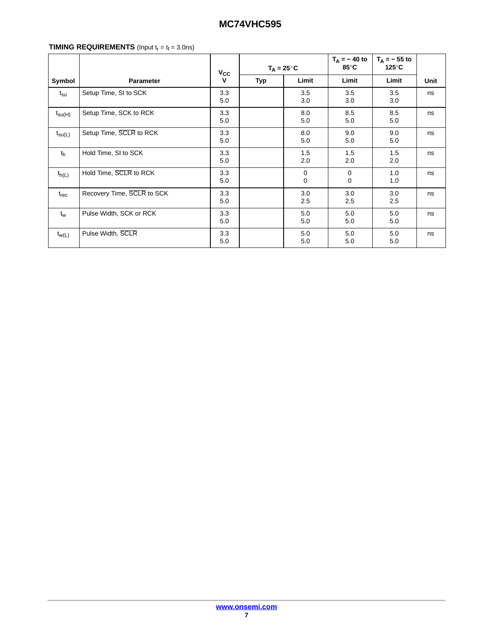## **TIMING REQUIREMENTS** (Input  $t_r = t_f = 3.0$ ns)

|                    |                            | $V_{\rm CC}$ | $T_A = 25^{\circ}C$ |            | $T_{\Delta}$ = -40 to<br>85°C | $T_{\Delta}$ = - 55 to<br>$125^\circ$ C |      |
|--------------------|----------------------------|--------------|---------------------|------------|-------------------------------|-----------------------------------------|------|
| Symbol             | <b>Parameter</b>           | v            | Typ                 | Limit      | Limit                         | Limit                                   | Unit |
| $t_{\rm su}$       | Setup Time, SI to SCK      | 3.3<br>5.0   |                     | 3.5<br>3.0 | 3.5<br>3.0                    | 3.5<br>3.0                              | ns   |
| $t_{\text{SU(H)}}$ | Setup Time, SCK to RCK     | 3.3<br>5.0   |                     | 8.0<br>5.0 | 8.5<br>5.0                    | 8.5<br>5.0                              | ns   |
| $t_{\text{su(L)}}$ | Setup Time, SCLR to RCK    | 3.3<br>5.0   |                     | 8.0<br>5.0 | 9.0<br>5.0                    | 9.0<br>5.0                              | ns   |
| t <sub>h</sub>     | Hold Time, SI to SCK       | 3.3<br>5.0   |                     | 1.5<br>2.0 | 1.5<br>2.0                    | 1.5<br>2.0                              | ns   |
| $t_{h(L)}$         | Hold Time, SCLR to RCK     | 3.3<br>5.0   |                     | 0<br>0     | $\mathbf 0$<br>$\Omega$       | 1.0<br>1.0                              | ns   |
| $t_{rec}$          | Recovery Time, SCLR to SCK | 3.3<br>5.0   |                     | 3.0<br>2.5 | 3.0<br>2.5                    | 3.0<br>2.5                              | ns   |
| $t_w$              | Pulse Width, SCK or RCK    | 3.3<br>5.0   |                     | 5.0<br>5.0 | 5.0<br>5.0                    | 5.0<br>5.0                              | ns   |
| $t_{W(L)}$         | Pulse Width, SCLR          | 3.3<br>5.0   |                     | 5.0<br>5.0 | 5.0<br>5.0                    | 5.0<br>5.0                              | ns   |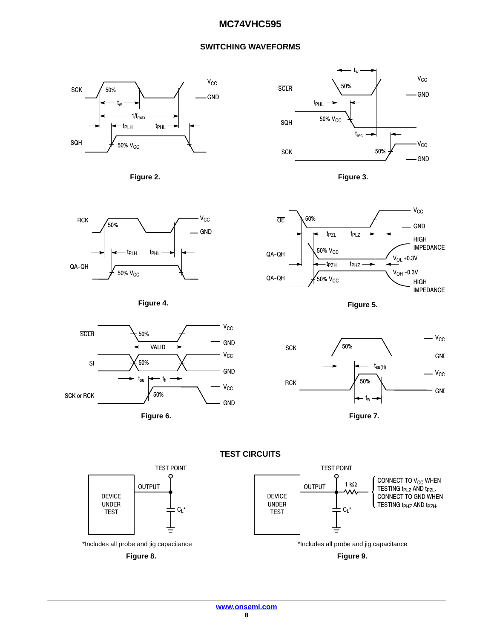## **SWITCHING WAVEFORMS**



















**TEST CIRCUITS**

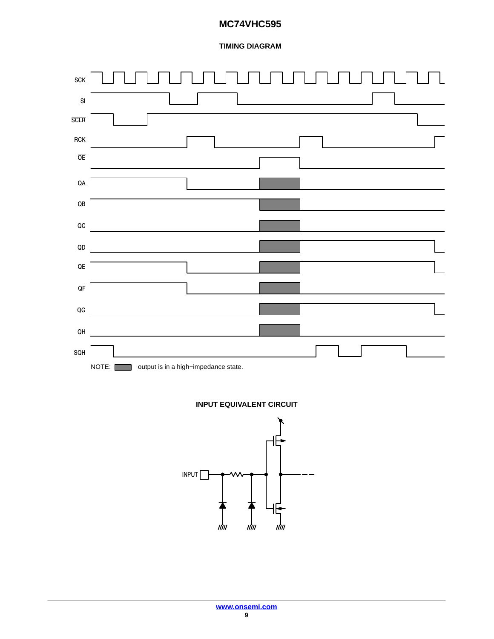## **TIMING DIAGRAM**



## **INPUT EQUIVALENT CIRCUIT**

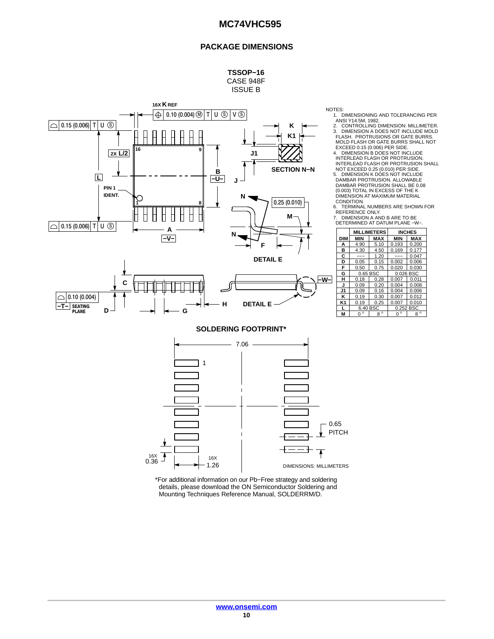#### **PACKAGE DIMENSIONS**





**G**

**SEATING PLANE −T−**

 $\bigcirc$  0.10 (0.004)

**D**

NOTES:

 $\blacksquare$ 1. DIMENSIONING AND TOLERANCING PER<br>ANSI Y14.5M, 1982.<br>2. CONTROLLING DIMENSION: MILLIMETER.<br>3. DIMENSION A DOES NOT INCLUDE MOLD<br>FLASH. PROTRUSIONS OR GATE BURRS. MOLD FLASH OR GATE BURRS SHALL NOT EXCEED 0.15 (0.006) PER SIDE.

4. DIMENSION B DOES NOT INCLUDE<br>
INTERLEAD FLASH OR PROTRUSION.<br>
INTERLEAD FLASH OR PROTRUSION SHALL<br>
NOT EXCEED 0.25 (0.010) PER SIDE.

ÇÇÇ 5. DIMENSION K DOES NOT INCLUDE DAMBAR PROTRUSION. ALLOWABLE DAMBAR PROTRUSION SHALL BE 0.08 (0.003) TOTAL IN EXCESS OF THE K DIMENSION AT MAXIMUM MATERIAL

CONDITION. 6. TERMINAL NUMBERS ARE SHOWN FOR REFERENCE ONLY. 7. DIMENSION A AND B ARE TO BE

DETERMINED AT DATUM PLANE −W−.

|                |              | <b>MILLIMETERS</b> |              | <b>INCHES</b> |
|----------------|--------------|--------------------|--------------|---------------|
| <b>DIM</b>     | <b>MIN</b>   | <b>MAX</b>         | MIN          | <b>MAX</b>    |
| A              | 4.90         | 5.10               | 0.193        | 0.200         |
| в              | 4.30         | 4.50               | 0.169        | 0.177         |
| C              |              | 1.20               |              | 0.047         |
| D              | 0.05         | 0.15               | 0.002        | 0.006         |
| F              | 0.50         | 0.75               | 0.020        | 0.030         |
| G              | 0.65 BSC     |                    | 0.026        | <b>BSC</b>    |
| н              | 0.18         | 0.28               | 0.007        | 0.011         |
| J              | 0.09         | 0.20               | 0.004        | 0.008         |
| J1             | 0.09         | 0.16               | 0.004        | 0.006         |
| κ              | 0.19         | 0.30               | 0.007        | 0.012         |
| K <sub>1</sub> | 0.19         | 0.25               | 0.007        | 0.010         |
|                | 6.40 BSC     |                    | 0.252 BSC    |               |
| M              | $\circ$<br>n | $8^{\circ}$        | $\circ$<br>n | $\circ$<br>8  |

**SOLDERING FOOTPRINT\***

**H**

c

**DETAIL E**